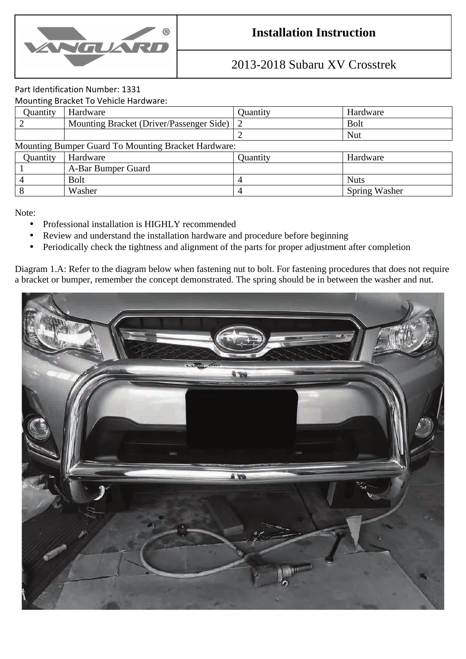

## **Installation Instruction**

## 2013-2018 Subaru XV Crosstrek

## Part Identification Number: 1331

Mounting Bracket To Vehicle Hardware:

| Quantity                                            | Hardware                                   | Quantity | Hardware      |
|-----------------------------------------------------|--------------------------------------------|----------|---------------|
|                                                     | Mounting Bracket (Driver/Passenger Side) 2 |          | <b>Bolt</b>   |
|                                                     |                                            |          | <b>Nut</b>    |
| Mounting Bumper Guard To Mounting Bracket Hardware: |                                            |          |               |
| Quantity                                            | Hardware                                   | Quantity | Hardware      |
|                                                     | A-Bar Bumper Guard                         |          |               |
|                                                     | <b>Bolt</b>                                | 4        | <b>Nuts</b>   |
|                                                     | Washer                                     | 4        | Spring Washer |

Note:

- Professional installation is HIGHLY recommended
- Review and understand the installation hardware and procedure before beginning
- Periodically check the tightness and alignment of the parts for proper adjustment after completion

Diagram 1.A: Refer to the diagram below when fastening nut to bolt. For fastening procedures that does not require a bracket or bumper, remember the concept demonstrated. The spring should be in between the washer and nut.

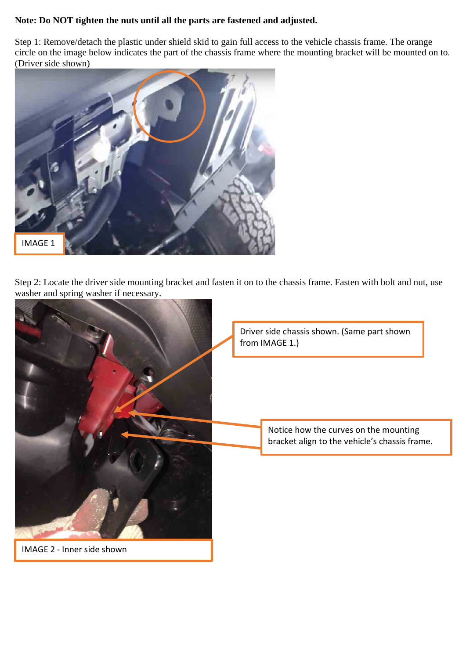## **Note: Do NOT tighten the nuts until all the parts are fastened and adjusted.**

Step 1: Remove/detach the plastic under shield skid to gain full access to the vehicle chassis frame. The orange circle on the image below indicates the part of the chassis frame where the mounting bracket will be mounted on to. (Driver side shown)



Step 2: Locate the driver side mounting bracket and fasten it on to the chassis frame. Fasten with bolt and nut, use washer and spring washer if necessary.

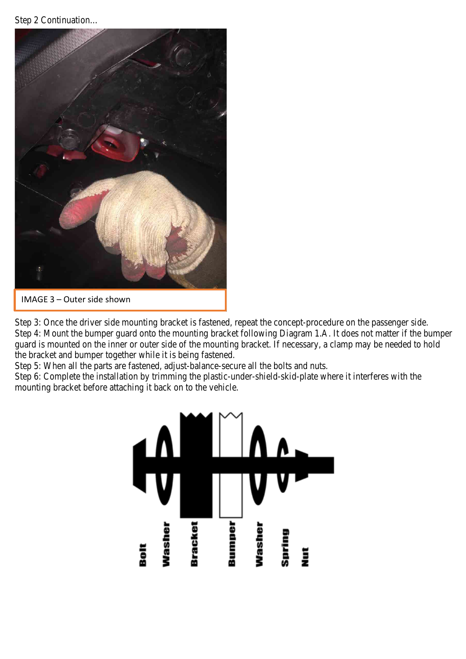Step 2 Continuation…



Step 3: Once the driver side mounting bracket is fastened, repeat the concept-procedure on the passenger side. Step 4: Mount the bumper guard onto the mounting bracket following Diagram 1.A. It does not matter if the bumper guard is mounted on the inner or outer side of the mounting bracket. If necessary, a clamp may be needed to hold the bracket and bumper together while it is being fastened.

Step 5: When all the parts are fastened, adjust-balance-secure all the bolts and nuts.

Step 6: Complete the installation by trimming the plastic-under-shield-skid-plate where it interferes with the mounting bracket before attaching it back on to the vehicle.